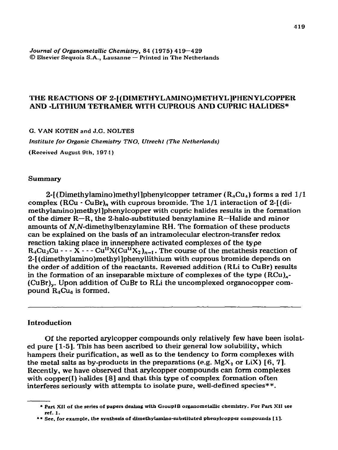*Journal of Organometallic Chemistry, 84* **(1975) 419-429 0 Elsevier Sequoia S.A., Lausanne - Printed in The Netherlands** 

# **THE REACTIONS OF 2-[(DIMETHYLAMlNO)METHYL]E'HENYLCOPPER AND -LITHIUM TETRAMER WITH CUPROUS AND CUPRIC HALIDES\***

**G. VAN KOTEN and J.G. NOLTES** 

*Institute for Organic Chemistry TNO. Utrecht (The Netherlands)* 

**(Received August 9th. 1974)** 

### **Summary**

2- $[$ (Dimethylamino)methyl]phenylcopper tetramer ( $R_{\mu}Cu_{\mu}$ ) forms a red 1/1 complex  $(RCu \cdot CuBr)$ , with cuprous bromide. The  $1/1$  interaction of  $2-[di$ methylamino)methyl]phenylcopper with cupric halides results in the formation of the dimer  $R-R$ , the 2-halo-substituted benzylamine  $R-Halide$  and minor amounts of N,N-dimethylbenzylamine RH. The formation of these products can be explained on the basis of an intramolecular electron-transfer redox reaction taking place in innersphere activated complexes of the type  $R_4Cu_3Cu - -X - Cu^{II}X(Cu^{II}X_2)_{n-1}$ . The course of the metathesis reaction of 2-[(dimethylamino)methyl]phenyllithium with cuprous bromide depends on the order of addition of the reactants. Reversed addition (RLi to CuBr) results in the formation of an inseparable mixture of complexes of the type  $(RCu)_{x}$ -(CuBr),. Upon addition of CuBr to RLi the uncomplexed organocopper compound  $R_4Cu_4$  is formed.

# Introduction

Of the reported arylcopper compounds only relatively few have been isolated pure [l-5]. This has been ascribed to their general low solubility, which hampers their purification, as well as to the tendency to form complexes with the metal salts as by-products in the preparations (e.g.  $Mgx_2$  or LiX) [6, 7]. Recently, we have observed that arylcopper compounds can form complexes with copper(I) halides  $[8]$  and that this type of complex formation often interferes seriously with attempts to isolate pure, well-defined species\*\*.

<sup>\*</sup> Part XII of the series of papers dealing with GroupIB organometallic chemistry. For Part XII see ref. **1.** 

<sup>\*\*</sup> See, for example, the synthesis of dimethylamino-substituted phenylcopper compounds [1].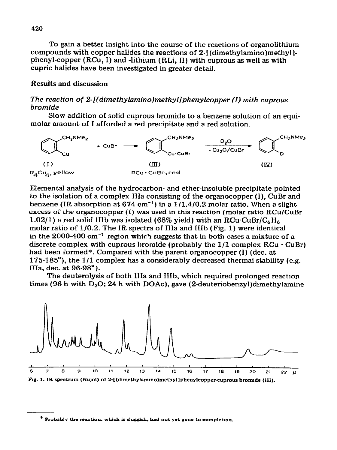To gain a better insight into the course of the reactions of organolithium compounds with copper **halides the reactions of 2-[(dimethylamino)methyIlphenylcopper** (RCu, 1) and **-lithium** (RLi, iI) with cuprous as well as with cupric halides have been investigated in greater detail.

## Results and discussion

## *The reaction of 2-((dimethylamino)methyl]phenylcopper (I) with cuprous bromide*

*Slow* **addition of solid cuprous bromide to a benzene solution of an equimolar amount of** I **afforded a red precipitate and a red solution.** 



Elemental analysis of the hydrocarbon- and ether-insoluble precipitate pointed to the isolation of a complex IIIa consisting of the organocopper (I), CuBr and benzene (IR absorption at  $674 \text{ cm}^{-1}$ ) in a  $1/1.4/0.2 \text{ molar ratio}$ . When a slight excess of the organocopper (I) was used in this reaction (molar ratio RCu/CuBr 1.02/1) a red solid IIIb was isolated (68% yield) with an RCu-CuBr/C<sub>6</sub>H<sub>6</sub> molar ratio of l/0.2. The IR spectra of IIIa and IiIb (Fig. 1) were identical in the 2000-400 cm-' region which suggests that in both cases a mixture of *a*  discrete complex with cuprous bromide (probably the  $1/1$  complex  $RCu \cdot CuBr$ ) had been formed\*. Compared with the parent organocopper  $(I)$  (dec. at 175-185 $^{\circ}$ ), the 1/1 complex has a considerably decreased thermal stability (e.g. IIIa, dec. at 96-98").

The deuterolysis of both IIIa and IIIb, which required prolonged reaction times (96 h with  $D_2O$ ; 24 h with DOAc), gave (2-deuteriobenzyl)dimethylamine



Fig. 1. IR spectrum (Nujol) of 2-[(dimethylamino)methyl]phenylcopper-cuprous bromide (III).

<sup>&</sup>lt;sup>#</sup> Probably the reaction, which is sluggish, had not yet gone to completion.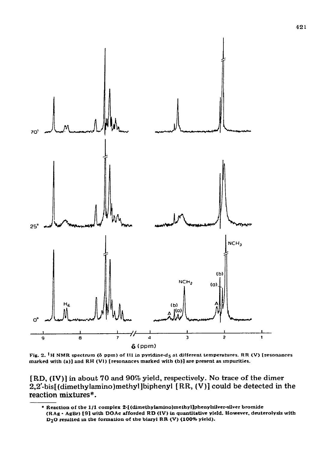

Fig. 2. <sup>1</sup>H NMR spectrum ( $\delta$  ppm) of III in pyridine-d<sub>5</sub> at different temperatures. RR (V) [resonances marked with (a)] and RH (VI) [resonances marked with (b)] are present as impurities.

[RD, (IV)] in about 70 and 90% yield, respectively. No trace of the dimer 2,2'-bis[(dimethylamino)methyl]biphenyl [RR, (V)] could be detected in the reaction mixtures\*.

<sup>\*</sup> Reaction of the 1/1 complex 2-{(dimethylamino)methyl]phenylsilver-silver bromide (RAg · AgBr) [9] with DOAc afforded RD (IV) in quantitative yield. However, deuterolysis with D<sub>2</sub>O resulted in the formation of the biaryl RR (V) (100% yield).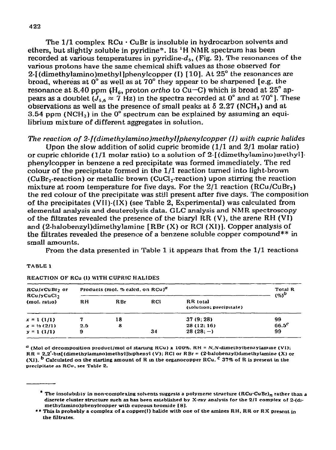The  $1/1$  complex  $RCu \cdot CuBr$  is insoluble in hydrocarbon solvents and ethers, but slightly soluble in pyridine\*. Its 'H NMR spectrum has been recorded at various temperatures in pyridine- $d_5$ , (Fig. 2). The resonances of the various protons have the same chemical shift values as those observed for 2-[(dimethylamino)methyl]phenylcopper (I) [10]. At 25° the resonances are broad, whereas at  $0^{\circ}$  as well as at  $70^{\circ}$  they appear to be sharpened [e.g. the resonance at 8.40 ppm  $(H_6, \text{ proton ortho to Cu-C})$  which is broad at 25° appears as a doublet  $(J_{5,6} \approx 7 \text{ Hz})$  in the spectra recorded at 0° and at 70°]. These observations as well as the presence of small peaks at  $\delta$  2.27 (NCH<sub>3</sub>) and at 3.54 ppm (NCH<sub>2</sub>) in the  $0^{\circ}$  spectrum can be explained by assuming an equilibrium mixture of different aggregates in solution.

### *The reaction of 2-[(dimethyLamino)methyl]phenylcopper (I) with cupric halides*

Upon the slow addition of solid cupric bromide  $(1/1$  and  $2/1$  molar ratio) or cupric chloride (1/1 molar ratio) to a solution of  $2$  [(dimethylamino)methyl]phenylcopper in benzene a red precipitate was formed immediately. The red colour of the preciprtate formed in the l/l reaction turned into light-brown (CuBr<sub>2</sub>-reaction) or metallic brown (CuCl<sub>2</sub>-reaction) upon stirring the reaction mixture at room temperature for five days. For the  $2/1$  reaction (RCu/CuBr<sub>2</sub>) the red colour of the precipitate was still present after five days. The composition of the precipitates (VII)-(IX) (see Table 2, Esperimental) was calculated from elemental analysis and deuterolysis data. GLC analysis end NMR spectroscopy of the filtrates revealed the presence of the biaryl RR (V), the arene RH (VI) and (2-halobenzyl)dimethylamine [ RBr (X) or RCI (Xi)]. Copper analysis of the filtrates revealed the presence of a benzene soluble copper compound\*\* in small amounts.

From the data presented in Table 1 it appears that from the l/l reactions

#### **TABLE I**

| RCu/xCuBr <sub>7</sub> or<br>RCu/yCuCl <sub>2</sub><br>(mol. ratio) | Products (mol. % calcd, on RCu) <sup>a</sup> | <b>Total R</b><br>$($ %) $^{\circ}$ |            |                                     |          |
|---------------------------------------------------------------------|----------------------------------------------|-------------------------------------|------------|-------------------------------------|----------|
|                                                                     | RH.                                          | R Br                                | <b>RCI</b> | RR total<br>(solution; precipitate) |          |
| $x = 1(1/1)$                                                        |                                              | 18                                  |            | 37(9;28)                            | 99       |
| $x = \frac{1}{2}(2/1)$                                              | 2.5                                          | 8                                   |            | 28 (12, 16)                         | $66.5^c$ |
| $y = 1(1/1)$                                                        | 9                                            |                                     | 34         | $28(28,-)$                          | 99       |

#### **REACTION OF RCu (I) WlTH CUPRIC HALIDES**

 $^a$  (Mol of decomposition product/mol of starting RCu) x 100%. RH = N, N-dimethylbenzylamine (VI); **RR = 2.2'.bu[(dimeLhylam~o)metbyllb~phenyl (V); RCI or RBr = (Z-halobenzyl)dlmelylamiae (X) or (Xl). b Calculated on the starting amount of R in the** organocopper **RCu. c 37% of R is present in the precipitate as RCu. see Table 2.** 

**<sup>\*</sup> The insolubhty in non-complexing solrents suggests a polymenc structure (RCu-CuBr), rather than a discrete cluster structure such as has been established by X-ray analysis for f.he 211 complex cif 2-(domelhykmino)pbenylcopper with cuprous bromide 181.** 

**<sup>\*\*</sup>** This is probably a complex of a copper(I) halide with one of the amines RH, RR or RX present in **the** filtrates.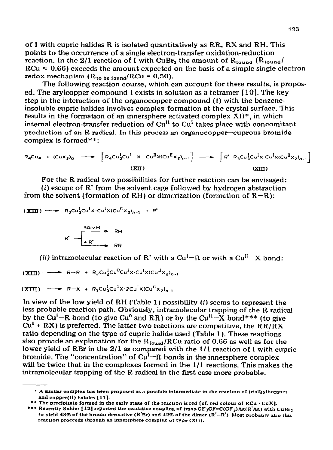**of I with cupric halides R is isolated quantitatively as RR, RX and RH. This points to the occurrence of a single electron-transfer oxidation-reduction**  reaction. In the  $2/1$  reaction of I with  $CuBr<sub>2</sub>$  the amount of  $R<sub>found</sub>$  ( $R<sub>found</sub>$ )  $RCu \approx 0.66$ ) exceeds the amount expected on the basis of a simple single electron redox mechanism  $(R_{to be found}/RCu = 0.50)$ .

**The following reaction course, which can account for these results, is propos**ed. The arylcopper compound I exists in solution as a tetramer  $[10]$ . The key step in **the interaction of the organocopper compound (I) with the benzeneinsoluble cupric halides involves complex formation at the crystal surface. This results in the formation of an innersphere activated comples XII", in which internal electron-transfer reduction of Cu" to Cu' takes place with concomitant. production of an R radical. In this process an organocoppet-cuprous bromide complex is formed\* \*** :

$$
R_{4}Cu_{4} + (Cu_{2})_{n} \longrightarrow \left[R_{4}Cu_{3}^{1}Cu^{1} \times Cu^{1}X(Cu^{1}X_{2})_{n}.\right] \longrightarrow \left[R^{*}R_{3}Cu_{3}^{1}Cu^{1}X Cu^{1}X(Cu^{1}X_{2})_{n}.\right]
$$
\n
$$
(XII) \qquad (XII)
$$

**For the R radical two possibilities for further reaction can be envisaged: (i) escape of R' from the solvent cage followed by hydrogen abstraction** 

**from the solvent (formation of RH) or dimcrizztion (formation of R-R):** 

 $(\overline{XIII})$  -  $\rightarrow$   $R_3Cu_3^1Cu_3^1X·Cu_3^1X(Cu_3^1X_2)_{n-1} + R^*$ 

$$
R^* \leftarrow \begin{array}{|l|}\n + R^* \longrightarrow & RR \\
\hline\n \text{Solv-H} & \text{RH} \\
\hline\n \end{array}
$$

*(ii)* intramolecular reaction of R' with a  $Cu<sup>1</sup>-R$  or with a  $Cu<sup>11</sup>-X$  bond:

 $(\overline{x}$   $\overline{m})$   $\rightarrow$  **R-R** + **R**<sub>2</sub>Cu<sup>1</sup><sub>Cu</sub><sup>0</sup>Cu<sup>1</sup>X.Cu<sup>I</sup>X(Cu<sup>I</sup>X<sub>2</sub>)<sub>n</sub>,

 $(XIII)$  - **R-X** +  $R_3Cu_3^1Cu^1X.2Cu^1X(Cl^1X_2)_{n,1}$ 

**In view of tine low yield of RH (Table 1) possibility (i) seems to represent the less probable reaction path. Obviously, intramolecular trapping of the R radical**  by the Cu<sup>t</sup>-R bond (to give Cu<sup>o</sup> and RR) or by the Cu<sup>11</sup>-X bond\*\*\* (to give Cu' + **RX) is preferred. The latter two reactions are competitive, the RR/RX ratio depending on the type of cupric halide used (Table 1). These reactions**  also provide an explanation for the  $R_{\text{found}}/RCu$  ratio of 0.66 as well as for the **lower yield** of **RBr in the 2/l as compared with the l/l reaction of I with cupric**  bromide. The "concentration" of  $Cu^{1}-R$  bonds in the innersphere complex **will be twice that in the complexes formed in the l/l reactions. This makes the intramolecular trapping of the R radical in the first case more probable.** 

<sup>l</sup>**A sunilar complex has been proposed as a possible** intermediate in **the reachon of trialkylboranes**  and copper(**ii**) halides [11].

**<sup>\*</sup>** l **The precipitate formed in the early stage of the reactloo is red [cf. red colour of RCu . CuXI.** 

**<sup>\*\*\*</sup>** Recently Snider [12] reported the oxidative coupling of *trans*.CE<sub>3</sub>CF=C(CF<sub>3</sub>)Ag(R'Ag) with CuBr<sub>2</sub> to yield **48% of the hromo denvatlve (R'Br) and 42% of the dimer (RI-R') Most** probably also this reaction proceeds **through an lnnenphere complex of** type (XII).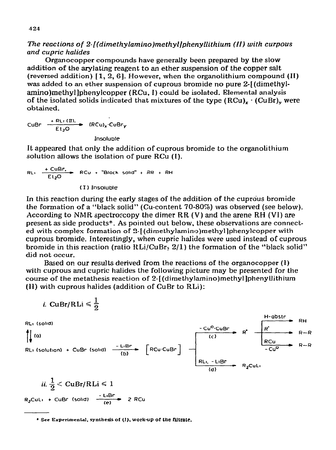# *The reactions of 2-[(dimethylamino)methyl]phenylLiihium (II) with curpous and cupric halides*

**Organocopper compounds have generally** been prepared by the slow addition of the ary!ating reagent to an ether suspension of the copper salt (reversed addition) [l, 2, 61. However, when the organolithium compound (II) was added to an ether suspension of cuprous bromide no pure 2-[(dimethylamino)methyl]phenylcopper (RCu, I) could be isolated. Elemental analysis of the isolated solids indicated that mixtures of the type  $(RCu)_r$   $\cdot$  (CuBr), were **obtained.** 

 $\text{CuBr} \quad \xrightarrow{\text{+ R}_{\text{L1}} (\text{II}) \text{...}} \quad \text{(RCu)}_{\text{x}} \text{CuE}$ 

**Insoluole** 

**It** appeared that only the addition of cuprous bromide to the organolithium solution allows the isolation of pure RCu (I).

$$
RL_1 \xrightarrow{+ C uBr.} RCu + "Black solid" + RR + RH
$$
\n
$$
(I) In soluble
$$

 $\blacksquare$ 

In this reaction during the early stages of the addition of the cuprous bromide the formation of a "black solid" (Cu-content 70-80%) was observed (see below). According to NMR spectroscopy the dimer  $RR (V)$  and the arene  $RH (VI)$  are present as side products\*. As pointed out below, these observations are connected with complex formation of 2-[(dimethylamino)methyl]phenylcopper with cuprous bromide. Interestingly, when cupric halides were used instead of cuprous bromide in this reaction (ratio RLi/CuBr, 2/l) the formation of the "black solid" did not occur.

Based on our results derived from the reactions of the organocopper (I) with cuprous and cupric halides the following picture may be presented for the course of the metathesis reaction of 2-[(dimethylamino)methyl]phenyUithium (II) with cuprous halides (addition of CuBr to RLi):

*i.* ClBr/RLi 
$$
\leq \frac{1}{2}
$$
  
\nRL<sub>1</sub> (solid)  
\n(a)  
\nR<sub>1</sub> (solution) + CuBr (solid)  
\n(b)  
\n
$$
\frac{-L_{1}Br}{(b)}
$$
\n[RCu-CuBr]  
\nR<sub>1</sub> (c)  
\n
$$
\frac{-Cu^{0}CuBr}{(c)}
$$
\nR<sup>2</sup>  
\nR<sub>2</sub>CuLi  
\n
$$
\frac{R_{1}Cu}{(d)}
$$
\nR<sub>3</sub>CuLi

*ii.*  $\frac{1}{9}$  < CuBr/RLi  $\leq 1$ - **Llex R2CuLl + CuEr (50114) - 2 RCu (e)** 

<sup>\*</sup> See Experimental, synthesis of (!), work-up of the filtrate.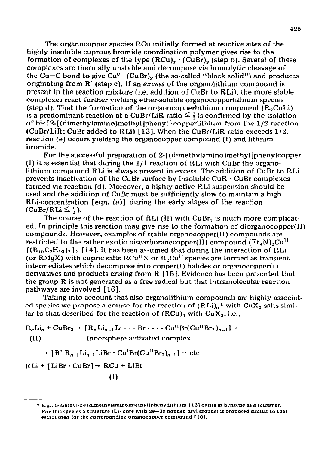The organocopper species RCu initially formed at reactive sites of the highly insoluble cuprous bromide coordination polymer gives rise to the formation of complexes of the type  $(RCu)_r \cdot (CuBr)_v$  (step b). Several of these complexes are thermally unstable and decompose via homolytic cleavage of the Cu-C bond to give  $Cu^0$   $\cdot$  (CuBr), (the so-called "black solid") and products originating from R' (step c). If an excess of the organolithium compound is present in the reaction mixture (i.e. addition of CuBr to RLi), the more stable complexes react further yielding ether-soluble organocopperlithium species (step d). That the formation of the organocopper lithium compound  $(R_2\text{CuLi})$ is a predominant reaction at a CuBr/LiR ratio  $\leq \frac{1}{2}$  is confirmed by the isolation of bis ${2$ [(dimethylamino)methyl]phenyl lcopperlithium from the  $1/2$  reaction (CuBr/LiR; CuBr added to RLi) [ 131. When the CuBr/LiR ratio exceeds l/2, reaction (e) occurs yielding the organocopper compound (I) and lithium bromide.

For the successful preparation of 2-[(dimethylamino)methyl phenylcopper (I) it is essential that during the  $1/1$  reaction of RLi with CuBr the organolithium compound RLi is always present in excess. The addition of CuBr to RLi prevents inactivation of the CuBr surface by insoluble  $CuR \cdot CuBr$  complexes formed via reaction (d). Moreover, a highly active RLi suspension should be used and the addition of Cu3r must be sufficiently slow to maintain a high RLi-concentration [eqn. (a)] during the early stages of the reaction  $(CuBr/RLi \leq \frac{1}{2}).$ 

The **course of the reaction** of RLi (II) with CuBr, is much **more compllcated. In** principle this reaction may give rise to the formation of diorganocopper(I1) compounds. However, examples of stable organocopper( II) compounds are restricted to the rather exotic biscarboranecopper(II) compound  $(E_t, N)$ , Cu<sup>11</sup>.  $[(B_{10}C_2H_{10})_2]_2$  [14]. It has been assumed that during the interaction of RLi (or RMgX) with cupric salts  $RCu^{11}X$  or  $R_2Cu^{11}$  species are formed as transient intermediates which decompose into copper $(I)$  halides or organocopper $(I)$ derivatives and products arising from R [ 151. Evidence has **been presented that**  the group R is not generated as a free radical but that intramolecular reaction pathways are involved [ 16 1.

Taking into account that also organolithium compounds are highly associated species we propose a course for the reaction of  $(RLi)_n^*$  with  $CuX_2$  salts similar to that described for the reaction of  $(RCu)$ , with  $CuX_2$ ; i.e.,

 $R_nLi_n + CuBr_2 \rightarrow [R_nLi_{n-1}Li - \cdots Br - - - Cu''Br(Cu''Br_2)_{n-1}] \rightarrow$  $(II)$ Innersphere activated complex

 $\rightarrow$  [R' R<sub>n-1</sub>Li<sub>n-1</sub>LiBr · Cu<sup>1</sup>Br(Cu<sup>[1</sup>Br<sub>2</sub>)<sub>n-1</sub>]  $\rightarrow$  etc.

 $RLi + [LiBr \cdot CuBr] \rightarrow RCu + LiBr$ 

 $(1)$ 

<sup>\*</sup> E.g., 5.methyl-2-[(dimethylamino)methyl]phenyllithium [13] exists in benzene as a tetramer. For this species a structure (L<sub>14</sub> core with  $2e-3c$  bonded aryl groups) is proposed similar to that established for the corresponding organocopper compound [10].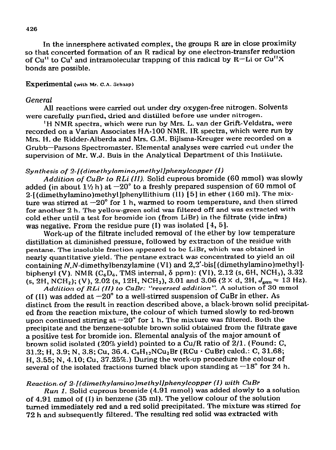In **the innersphere activated complex, the groups R are in close proximity so that concerted formation of an** R **radical by one electron-transfer reduction of Cu" to Cu' and intramolecular trapping of** this radical by R-Li or Cu"X bonds are possible.

### **Experimental (with Mr. C.A. Schaap)**

### *General*

All reactions were carried out under dry oxygen-free nitrogen. **Solvents were carefully** punfied, dried and distiiled before use under nitrogen.

**'H NIIR** spectra, which were run by Mrs. L. van der Grift-Veldstra, were **recorded on a Varian Associates HA-100 NMR.** IR spectra, which were run by Mrs. H. de Ridder-Alberda and Mrs. G.M. Bijlsma-Kreuger were recorded on a Grubb-Parsons Spectromaster. Elemental analyses were carried out under the supervision of Mr. W.J. Buis **in the Analytical Department of this Institute.** 

#### *Synthesis of 2-[(dimethylamino~methyl]phenylcopper (I)*

*Addition of CuBr to RLi (II).* **Solid cuprous bromide (60 mmol) was slowly**  added (in about  $1\frac{1}{2}$  h) at  $-20^{\circ}$  to a freshly prepared suspension of 60 mmol of 2-t (dimethylamino)methyl]phenyllithium (II) [ 51 in ether (160 ml). The mixture was stirred at  $-20^{\circ}$  for 1 h, warmed to room temperature, and then stirred for another 2 h. The yellow-green solid was filtered off and was extracted with cold **ether until a test for bromide ion (from** LiBr) in the filtrate (vide infra) was negative. From the residue pure  $(I)$  was isolated  $[4, 5]$ .

Work-up of the fiitrate included removal of the ether by low temperature distillation at diminished pressure, followed by extraction of the residue with pentane. The insoluble fraction appeared to be LiBr, which was obtained in nearly quantitative yield. The pentane estract was concentrated to yield an oil **containing N,!V-dimethylbenzylamine (VI) and** 2,3'-bis[ (dimethylamino)methyl] biphenyl (V). NMR  $(C_6D_6, TMS$  internal,  $\delta$  ppm): (VI), 2.12 (s, 6H, NCH<sub>3</sub>), 3.32 (s, 2H, NCH<sub>2</sub>); (V), 2.02 (s, 12H, NCH<sub>3</sub>), 3.01 and 3.06 (2 × d, 2H,  $J_{\text{gen}} \approx 13 \text{ Hz}$ ). *Addition of RLi (ii) to CnBr: "reuersed addition:".* A solution of 30 mmol

of (II) was added at  $-20^{\circ}$  to a well-stirred suspension of CuBr in ether. As **distinct from the result in reaction described above, a black-brown solid precipitated from the reaction mixture, the colour of which turned** slowly to red-brown upon continued stirring at  $-20^{\circ}$  for 1 h. The mixture was filtered. Both the precipitate and the benzene-soluble **brown solid obtained from the filtrate gave a positive test for bromide ion. Elemental analysis of the major amount of brown solid isolated (20% yield) pointed to a Cu/R ratio of 2/l. (Found: C,**  31.2; H, 3.9; N, 3.8; Cu, 36.4. C<sub>9</sub>H<sub>12</sub>NCu<sub>2</sub>Br (RCu · CuBr) calcd.: C, 31.68; **H, 3.55; N, 4.10; Cu, 37.25s.) During the work-up procedure the colour of**  several of the isolated fractions turned black upon standing at  $-18^{\circ}$  for 24 h.

## *Reactionof 2-[(dimethylamino)methyl]phenyIcopper (I) with CuBr*

*Run 1.* Solid cuprous bromide (4.91 mmol) was added slowly to a solution of 4.91 mmol of (I) in benzene (35 **ml). The yellow colour of the solution turned immediately red and a red solid precipitated. The mixture was stirred for 72 h and subsequently filtered. The resulting red solid was extracted with**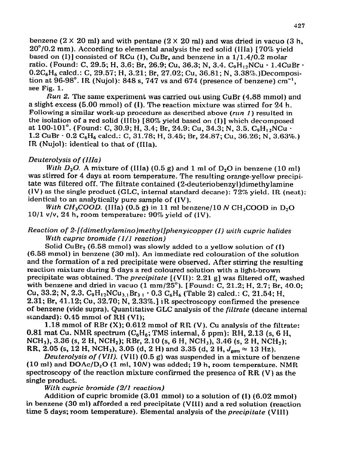benzene (2 **X** 20 ml) and with pentane (2 **X** 20 ml) and was dried in vacua (3 h, 20"/0.2 mm). According to elemental analysis the red solid **(IIIa)** [70% yield based on  $(I)$ ] consisted of RCu  $(I)$ , CuBr, and benzene in a  $1/1.4/0.2$  molar ratio. (Found: C, 29.5; H, 3.6; Br, 26.9; Cu, 36.3; N, 3.4.  $C_9H_{12}NCu \cdot 1.4CuBr \cdot$  $0.2C_6H_6$  calcd.: C, 29.57; H, 3.21; Br, 27.02; Cu, 36.81; N, 3.38%.)Decomposition at 96-98°. IR (Nujol): 848 s, 747 vs and 674 (presence of benzene)  $cm^{-1}$ , see **Fig. 1.** 

*Run 2.* The same experiment was carried out using **CuBr** (4.88 mmol) and a slight escess (5.00 mmol) of (I). The reaction mixture was stirred for 24 h. Following a similar work-up procedure as described above *(run 2 )* resulted **in the isolation of a red solid (IIIb) [80% yield based on (I)]** which decomposed at 100-101°. (Found: C, 30.9; H, 3.4; Br, 24.9; Cu, 34.3; N, 3.5. C<sub>9</sub>H<sub>12</sub>NCu · 1.2 CuBr  $\cdot$  0.2 C<sub>6</sub>H<sub>6</sub> calcd.: C, 31.78; H, 3.45; Br, 24.87; Cu, 36.26; N, 3.63%.) IR (Nujol): identical to that of (IIIa).

## *Deu terolysis of (IHa)*

*With*  $D_2O$ *.* A misture of (IIIa)  $(0.5 g)$  and 1 ml of  $D_2O$  in benzene (10 ml) **was stirred** for 4 days at room temperature. **The resulting orange-yellow precipi**tate was filtered off. The filtrate contained (2-deuteriobenzyI)dimethylamine (IV) as the single product (GLC, internal standard decane): 72% yield. IR (neat): identical to an analytically pure sample of (IV).

*With CH*<sub>3</sub>*COOD.* (IIIa)  $(0.5 g)$  in 11 ml benzene/10 N CH<sub>3</sub>COOD in D<sub>2</sub>O **10/l v/v, 24 h, room temperature: 90% yield of (IV).** 

## *Reaction of 2-[(dimetlzylamino)methyI]phenyicopper (I) with cupric halides With cupric bromide (l/l reaction)*

Solid CuBr<sub>2</sub> (6.58 mmol) was slowly added to a yellow solution of (I) **(6.58 mmol) in benzene (30 ml). An immediate red colouration of the solution and** the formation of a red precipitate were observed. After stirring the resulting reaction mixture during 5 days a red coloured solution with a light-brown precipitate was obtained. The *precipitate* **[(VII): 2.21 g] was filtered off, washed with benzene and dried in vacua (1 mm/25"). [Found: C, 21.2; H, 2.7; Br, 40.0; Cu, 33.2; N, 2.3.**  $C_9H_{12}NCu_{3.1}Br_{31} \cdot 0.3 C_6H_6$  **(Table 2) calcd.: C, 21.54; H,** 2.31; Br, 41.12; Cu, 32.70; N, 2.33%.] iR spectroscopy confirmed the presence of benzene (vide supra). Quantitative GLC analysis of the *filtrate* (decane internal standard): 0.45 mmol **of RH (VI);** 

**1.18** mmol of RBr (X); 0.612 mmol of RR (V). Cu analysis of the filtrate: 0.81 mat Cu. NMR spectrum  $(C_6H_6$ ; TMS internal,  $\delta$  ppm): RH, 2.13 (s, 6 H, NCH<sub>3</sub>), 3.36 (s, 2 H, NCH<sub>2</sub>); RBr, 2.10 (s, 6 H, NCH<sub>3</sub>), 3.46 (s, 2 H, NCH<sub>2</sub>); RR, 2.05 (s, 12 H, NCH<sub>3</sub>), 3.05 (d, 2 H) and 3.35 (d, 2 H,  $J_{\text{gen}} \approx 13 \text{ Hz}$ ).

*Deuterolysis of (VII).* **(VII) (0.5 g) was suspended in a misture of benzene (10 ml) and DOAc/D,O (1 ml, 10N) was added; 19 h, room temperature.** NMR **spectroscopy of the reaction mixture confirmed the presence of** RR (V) as the **single product.** 

*With cupric bromide (2/l reaction)* 

**Addition of cupric bromide (3.01 mmol) to a solution of (I) (6.02 mmol) in benzene (30 ml) afforded a red precipitate (VItI) and a red solution (reaction time 5 days; room temperature). Elemental analysis of the** *precipitate* **(VIII)**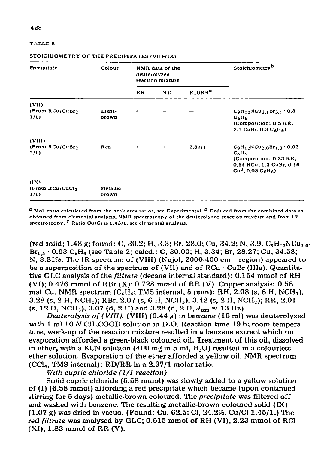| Precipitate                         | Colour            | NMR data of the<br>deuterolyzed<br>reaction mixture |           |                    | Stoichiometry <sup>b</sup>                                                                                                        |  |
|-------------------------------------|-------------------|-----------------------------------------------------|-----------|--------------------|-----------------------------------------------------------------------------------------------------------------------------------|--|
|                                     |                   | <b>RR</b>                                           | <b>RD</b> | RD/RR <sup>a</sup> |                                                                                                                                   |  |
| (VII)                               |                   |                                                     |           |                    |                                                                                                                                   |  |
| (From RCu/CuBr <sub>2</sub><br>1/1) | Light-<br>brown   | ۰                                                   |           |                    | $C_9H_{12}NCu_{31}Br_{31}$ 0.3<br>$C_6H_6$<br>(Composition: 0.5 RR,<br>3.1 CuBr, 0.3 $C_6H_6$ )                                   |  |
| (VIII)                              |                   |                                                     |           |                    |                                                                                                                                   |  |
| (From RCu/CuBr)<br>2/1)             | Red               | ۰                                                   | $+$       | 2.37/1             | $C_9H_{12}NCu_{2,0}Br_{1,3}\cdot 0.03$<br>$C_6H_6$<br>(Composition: 0 23 RR,<br>0.54 RCu, 1.3 CuBr, 0.16<br>$Cu0$ , 0.03 $C6H6$ ) |  |
| (IX)                                |                   |                                                     |           |                    |                                                                                                                                   |  |
| (From RCu/CuCl <sub>2</sub><br>1/1) | Metallic<br>brown |                                                     |           |                    |                                                                                                                                   |  |

#### STOICHIOMETRY OF THE PRECIPITATES (VII)-(IX)

 $^a$  Mol. ratio calculated from the peak area ratios, see Experimental.  $^b$  Deduced from the combined data as obtained from elemental analysis. NMR spectroscopy of the deuterolyzed reaction mixture and from IR spectroscopy.  $c$  Ratio Cu/Cl is 1.45/1, see elemental analysis.

(red solid; 1.48 g; found: C, 30.2; H, 3.3; Br, 28.0; Cu, 34.2; N, 3.9. C<sub>9</sub>H<sub>12</sub>NCu<sub>20</sub>.  $Br_1$ ,  $\cdot$  0.03 C<sub>n</sub>H<sub>6</sub> (see Table 2) calcd.: C, 30.00; H, 3.34; Br, 28.27; Cu, 34.58; N,  $3.81\%$ . The IR spectrum of (VIII) (Nujol, 2000-400 cm<sup>-1</sup> region) appeared to be a superposition of the spectrum of (VII) and of  $RCu \cdot CuBr$  (IIIa). Quantitative GLC analysis of the *filtrate* (decane internal standard): 0.154 mmol of RH (VI); 0.476 mmol of RBr  $(X)$ ; 0.728 mmol of RR  $(V)$ . Copper analysis: 0.58 mat Cu. NMR spectrum ( $C_6H_6$ ; TMS internal,  $\delta$  ppm): RH, 2.08 (s, 6 H, NCH<sub>3</sub>), 3.28 (s, 2 H, NCH<sub>2</sub>); RBr, 2.07 (s, 6 H, NCH<sub>3</sub>), 3.42 (s, 2 H, NCH<sub>2</sub>); RR, 2.01 (s, 12 H, NCH<sub>3</sub>), 3.07 (d, 2 H) and 3.28 (d, 2 H,  $J_{\text{eem}} \approx 13$  Hz).

Deuterolysis of (VIII). (VIII) (0.44 g) in benzene (10 ml) was deuterolyzed with 1 ml  $10 N$  CH<sub>2</sub>COOD solution in D<sub>2</sub>O. Reaction time  $19 h$ ; room temperature, work-up of the reaction mixture resulted in a benzene extract which on evaporation afforded a green-black coloured oil. Treatment of this oil, dissolved in ether, with a KCN solution (400 mg in 5 ml,  $H_2O$ ) resulted in a colourless ether solution. Evaporation of the ether afforded a yellow oil. NMR spectrum  $(CCl<sub>4</sub>, TMS internal)$ : RD/RR in a 2.37/1 molar ratio.

With cupric chloride (1/1 reaction)

Solid cupric chloride (6.58 mmol) was slowly added to a yellow solution of (I) (6.58 mmol) affording a red precipitate which became (upon continued stirring for 5 days) metallic-brown coloured. The *precipitate* was filtered off and washed with benzene. The resulting metallic-brown coloured solid (IX)  $(1.07 \text{ g})$  was dried in vacuo. (Found: Cu, 62.5; Cl, 24.2%. Cu/Cl 1.45/1.) The red filtrate was analysed by GLC; 0.615 mmol of RH (VI), 2.23 mmol of RCl  $(XI); 1.83$  mmol of RR $(V).$ 

TABLE<sub>2</sub>